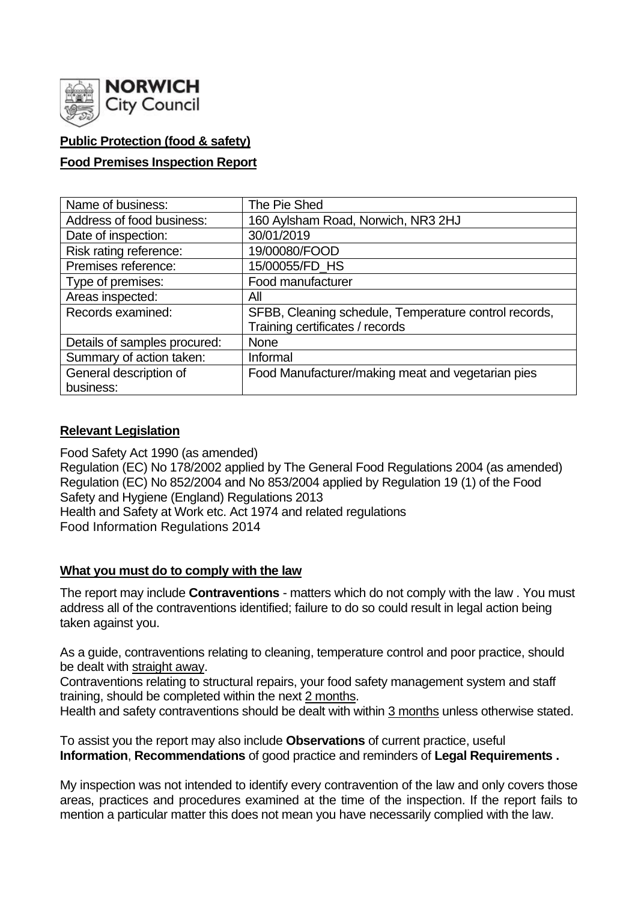

## **Public Protection (food & safety)**

## **Food Premises Inspection Report**

| Name of business:            | The Pie Shed                                          |
|------------------------------|-------------------------------------------------------|
| Address of food business:    | 160 Aylsham Road, Norwich, NR3 2HJ                    |
| Date of inspection:          | 30/01/2019                                            |
| Risk rating reference:       | 19/00080/FOOD                                         |
| Premises reference:          | 15/00055/FD_HS                                        |
| Type of premises:            | Food manufacturer                                     |
| Areas inspected:             | All                                                   |
| Records examined:            | SFBB, Cleaning schedule, Temperature control records, |
|                              | Training certificates / records                       |
| Details of samples procured: | <b>None</b>                                           |
| Summary of action taken:     | Informal                                              |
| General description of       | Food Manufacturer/making meat and vegetarian pies     |
| business:                    |                                                       |

## **Relevant Legislation**

Food Safety Act 1990 (as amended) Regulation (EC) No 178/2002 applied by The General Food Regulations 2004 (as amended) Regulation (EC) No 852/2004 and No 853/2004 applied by Regulation 19 (1) of the Food Safety and Hygiene (England) Regulations 2013 Health and Safety at Work etc. Act 1974 and related regulations Food Information Regulations 2014

## **What you must do to comply with the law**

The report may include **Contraventions** - matters which do not comply with the law . You must address all of the contraventions identified; failure to do so could result in legal action being taken against you.

As a guide, contraventions relating to cleaning, temperature control and poor practice, should be dealt with straight away.

Contraventions relating to structural repairs, your food safety management system and staff training, should be completed within the next 2 months.

Health and safety contraventions should be dealt with within 3 months unless otherwise stated.

To assist you the report may also include **Observations** of current practice, useful **Information**, **Recommendations** of good practice and reminders of **Legal Requirements .**

My inspection was not intended to identify every contravention of the law and only covers those areas, practices and procedures examined at the time of the inspection. If the report fails to mention a particular matter this does not mean you have necessarily complied with the law.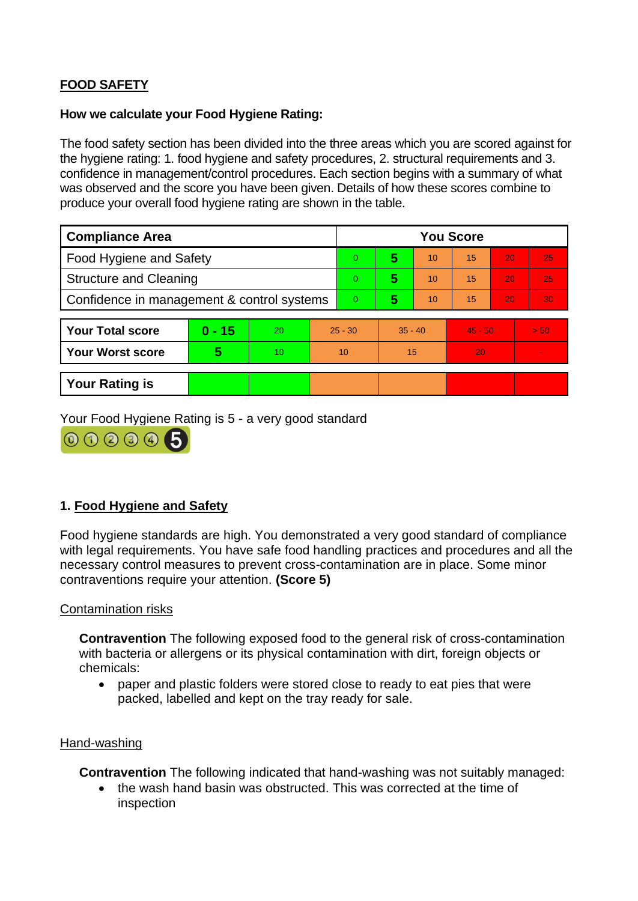# **FOOD SAFETY**

#### **How we calculate your Food Hygiene Rating:**

The food safety section has been divided into the three areas which you are scored against for the hygiene rating: 1. food hygiene and safety procedures, 2. structural requirements and 3. confidence in management/control procedures. Each section begins with a summary of what was observed and the score you have been given. Details of how these scores combine to produce your overall food hygiene rating are shown in the table.

| <b>Compliance Area</b>                     |          |    |           | <b>You Score</b> |           |    |           |    |         |
|--------------------------------------------|----------|----|-----------|------------------|-----------|----|-----------|----|---------|
| <b>Food Hygiene and Safety</b>             |          |    |           | 0                | 5         | 10 | 15        | 20 | 25      |
| <b>Structure and Cleaning</b>              |          |    |           | 0                | 5         | 10 | 15        | 20 | 25      |
| Confidence in management & control systems |          |    |           | 0                | 5         | 10 | 15        | 20 | 30      |
|                                            |          |    |           |                  |           |    |           |    |         |
| <b>Your Total score</b>                    | $0 - 15$ | 20 | $25 - 30$ |                  | $35 - 40$ |    | $45 - 50$ |    | $>$ 50. |
| <b>Your Worst score</b>                    | 5        | 10 | 10        |                  | 15        |    | 20        |    |         |
|                                            |          |    |           |                  |           |    |           |    |         |
| <b>Your Rating is</b>                      |          |    |           |                  |           |    |           |    |         |

Your Food Hygiene Rating is 5 - a very good standard



## **1. Food Hygiene and Safety**

Food hygiene standards are high. You demonstrated a very good standard of compliance with legal requirements. You have safe food handling practices and procedures and all the necessary control measures to prevent cross-contamination are in place. Some minor contraventions require your attention. **(Score 5)**

#### Contamination risks

**Contravention** The following exposed food to the general risk of cross-contamination with bacteria or allergens or its physical contamination with dirt, foreign objects or chemicals:

• paper and plastic folders were stored close to ready to eat pies that were packed, labelled and kept on the tray ready for sale.

## Hand-washing

**Contravention** The following indicated that hand-washing was not suitably managed:

• the wash hand basin was obstructed. This was corrected at the time of inspection